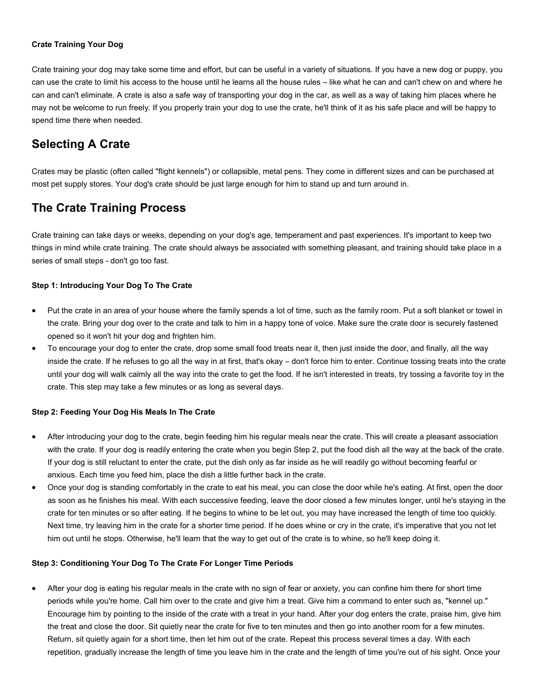#### **Crate Training Your Dog**

Crate training your dog may take some time and effort, but can be useful in a variety of situations. If you have a new dog or puppy, you can use the crate to limit his access to the house until he learns all the house rules – like what he can and can't chew on and where he can and can't eliminate. A crate is also a safe way of transporting your dog in the car, as well as a way of taking him places where he may not be welcome to run freely. If you properly train your dog to use the crate, he'll think of it as his safe place and will be happy to spend time there when needed.

# **Selecting A Crate**

Crates may be plastic (often called "flight kennels") or collapsible, metal pens. They come in different sizes and can be purchased at most pet supply stores. Your dog's crate should be just large enough for him to stand up and turn around in.

# **The Crate Training Process**

Crate training can take days or weeks, depending on your dog's age, temperament and past experiences. It's important to keep two things in mind while crate training. The crate should always be associated with something pleasant, and training should take place in a series of small steps - don't go too fast.

## **Step 1: Introducing Your Dog To The Crate**

- Put the crate in an area of your house where the family spends a lot of time, such as the family room. Put a soft blanket or towel in the crate. Bring your dog over to the crate and talk to him in a happy tone of voice. Make sure the crate door is securely fastened opened so it won't hit your dog and frighten him.
- To encourage your dog to enter the crate, drop some small food treats near it, then just inside the door, and finally, all the way inside the crate. If he refuses to go all the way in at first, that's okay – don't force him to enter. Continue tossing treats into the crate until your dog will walk calmly all the way into the crate to get the food. If he isn't interested in treats, try tossing a favorite toy in the crate. This step may take a few minutes or as long as several days.

### **Step 2: Feeding Your Dog His Meals In The Crate**

- After introducing your dog to the crate, begin feeding him his regular meals near the crate. This will create a pleasant association with the crate. If your dog is readily entering the crate when you begin Step 2, put the food dish all the way at the back of the crate. If your dog is still reluctant to enter the crate, put the dish only as far inside as he will readily go without becoming fearful or anxious. Each time you feed him, place the dish a little further back in the crate.
- Once your dog is standing comfortably in the crate to eat his meal, you can close the door while he's eating. At first, open the door as soon as he finishes his meal. With each successive feeding, leave the door closed a few minutes longer, until he's staying in the crate for ten minutes or so after eating. If he begins to whine to be let out, you may have increased the length of time too quickly. Next time, try leaving him in the crate for a shorter time period. If he does whine or cry in the crate, it's imperative that you not let him out until he stops. Otherwise, he'll learn that the way to get out of the crate is to whine, so he'll keep doing it.

### **Step 3: Conditioning Your Dog To The Crate For Longer Time Periods**

 After your dog is eating his regular meals in the crate with no sign of fear or anxiety, you can confine him there for short time periods while you're home. Call him over to the crate and give him a treat. Give him a command to enter such as, "kennel up." Encourage him by pointing to the inside of the crate with a treat in your hand. After your dog enters the crate, praise him, give him the treat and close the door. Sit quietly near the crate for five to ten minutes and then go into another room for a few minutes. Return, sit quietly again for a short time, then let him out of the crate. Repeat this process several times a day. With each repetition, gradually increase the length of time you leave him in the crate and the length of time you're out of his sight. Once your